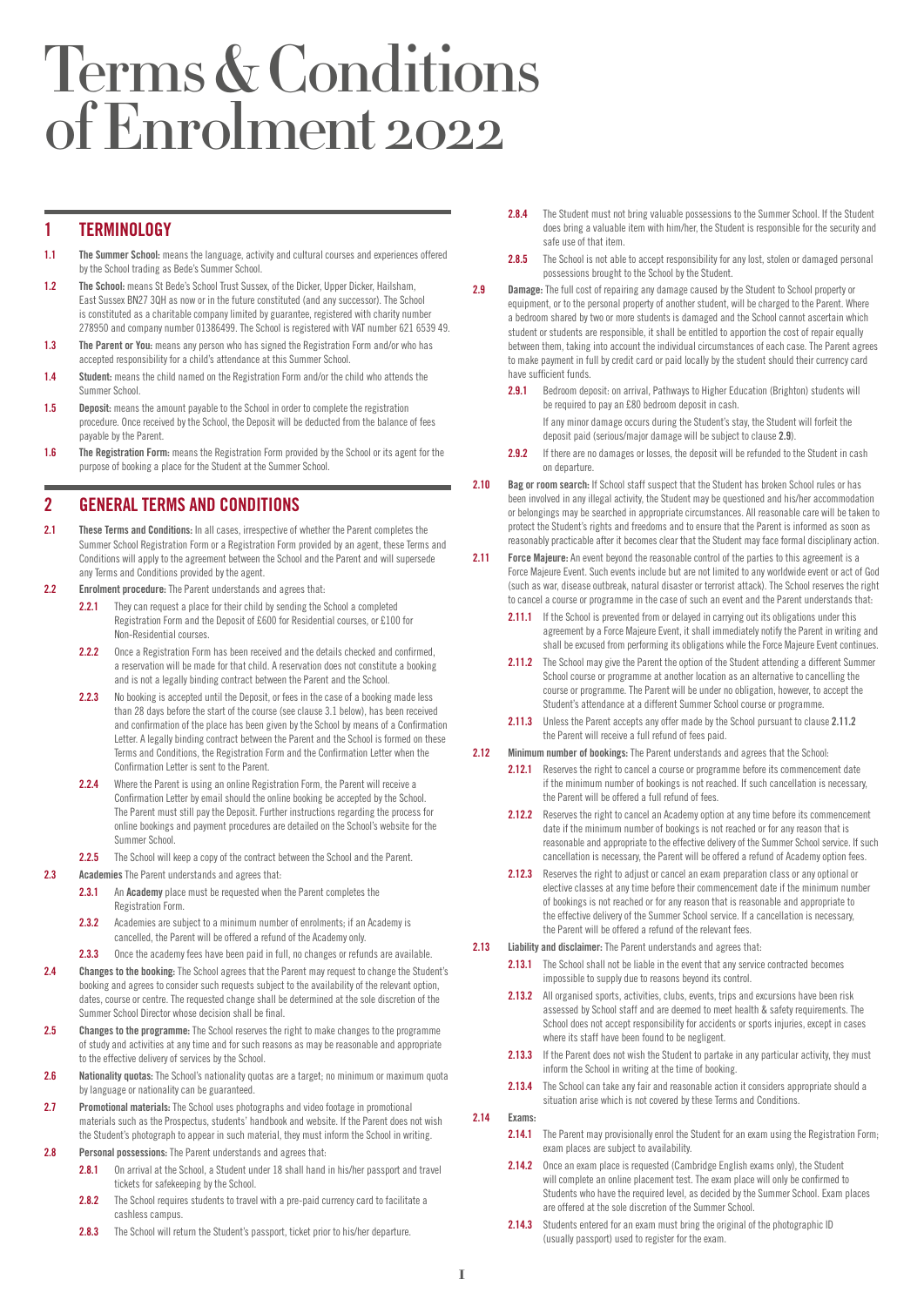# Terms & Conditions of Enrolment 2022

# 1 TERMINOLOGY

- 1.1 The Summer School: means the language, activity and cultural courses and experiences offered by the School trading as Bede's Summer School.
- 1.2 The School: means St Bede's School Trust Sussex, of the Dicker, Upper Dicker, Hailsham, East Sussex BN27 3QH as now or in the future constituted (and any successor). The School is constituted as a charitable company limited by guarantee, registered with charity number 278950 and company number 01386499. The School is registered with VAT number 621 6539 49.
- 1.3 The Parent or You: means any person who has signed the Registration Form and/or who has accepted responsibility for a child's attendance at this Summer School.
- 1.4 Student: means the child named on the Registration Form and/or the child who attends the Summer School.
- 1.5 Deposit: means the amount payable to the School in order to complete the registration procedure. Once received by the School, the Deposit will be deducted from the balance of fees payable by the Parent.
- 1.6 The Registration Form: means the Registration Form provided by the School or its agent for the purpose of booking a place for the Student at the Summer School.

# 2 GENERAL TERMS AND CONDITIONS

- 2.1 These Terms and Conditions: In all cases, irrespective of whether the Parent completes the Summer School Registration Form or a Registration Form provided by an agent, these Terms and Conditions will apply to the agreement between the School and the Parent and will supersede any Terms and Conditions provided by the agent.
- 2.2 Enrolment procedure: The Parent understands and agrees that:
	- 2.2.1 They can request a place for their child by sending the School a completed Registration Form and the Deposit of £600 for Residential courses, or £100 for Non‑Residential courses.
	- 2.2.2 Once a Registration Form has been received and the details checked and confirmed, a reservation will be made for that child. A reservation does not constitute a booking and is not a legally binding contract between the Parent and the School.
	- 2.2.3 No booking is accepted until the Deposit, or fees in the case of a booking made less than 28 days before the start of the course (see clause 3.1 below), has been received and confirmation of the place has been given by the School by means of a Confirmation Letter. A legally binding contract between the Parent and the School is formed on these Terms and Conditions, the Registration Form and the Confirmation Letter when the Confirmation Letter is sent to the Parent.
	- 2.2.4 Where the Parent is using an online Registration Form, the Parent will receive a Confirmation Letter by email should the online booking be accepted by the School. The Parent must still pay the Deposit. Further instructions regarding the process for online bookings and payment procedures are detailed on the School's website for the Summer School.
	- 2.2.5 The School will keep a copy of the contract between the School and the Parent.
- 2.3 Academies The Parent understands and agrees that:
	- 2.3.1 An Academy place must be requested when the Parent completes the Registration Form.
	- 2.3.2 Academies are subject to a minimum number of enrolments; if an Academy is cancelled, the Parent will be offered a refund of the Academy only.
	- 2.3.3 Once the academy fees have been paid in full, no changes or refunds are available.
- 2.4 Changes to the booking: The School agrees that the Parent may request to change the Student's booking and agrees to consider such requests subject to the availability of the relevant option, dates, course or centre. The requested change shall be determined at the sole discretion of the Summer School Director whose decision shall be final.
- 2.5 Changes to the programme: The School reserves the right to make changes to the programme of study and activities at any time and for such reasons as may be reasonable and appropriate to the effective delivery of services by the School.
- 2.6 Nationality quotas: The School's nationality quotas are a target; no minimum or maximum quota by language or nationality can be guaranteed.
- 2.7 Promotional materials: The School uses photographs and video footage in promotional materials such as the Prospectus, students' handbook and website. If the Parent does not wish the Student's photograph to appear in such material, they must inform the School in writing.
- 2.8 Personal possessions: The Parent understands and agrees that:
	- 2.8.1 On arrival at the School, a Student under 18 shall hand in his/her passport and travel tickets for safekeeping by the School.
	- 2.8.2 The School requires students to travel with a pre-paid currency card to facilitate a cashless campus.
	- 2.8.3 The School will return the Student's passport, ticket prior to his/her departure.
- 2.8.4 The Student must not bring valuable possessions to the Summer School. If the Student does bring a valuable item with him/her, the Student is responsible for the security and safe use of that item.
- 2.8.5 The School is not able to accept responsibility for any lost, stolen or damaged personal possessions brought to the School by the Student.
- 2.9 Damage: The full cost of repairing any damage caused by the Student to School property or equipment, or to the personal property of another student, will be charged to the Parent. Where a bedroom shared by two or more students is damaged and the School cannot ascertain which student or students are responsible, it shall be entitled to apportion the cost of repair equally between them, taking into account the individual circumstances of each case. The Parent agrees to make payment in full by credit card or paid locally by the student should their currency card have sufficient funds.
	- 2.9.1 Bedroom deposit: on arrival, Pathways to Higher Education (Brighton) students will be required to pay an £80 bedroom deposit in cash.

If any minor damage occurs during the Student's stay, the Student will forfeit the deposit paid (serious/major damage will be subject to clause 2.9).

- 2.9.2 If there are no damages or losses, the deposit will be refunded to the Student in cash on departure.
- 2.10 Bag or room search: If School staff suspect that the Student has broken School rules or has been involved in any illegal activity, the Student may be questioned and his/her accommodation or belongings may be searched in appropriate circumstances. All reasonable care will be taken to protect the Student's rights and freedoms and to ensure that the Parent is informed as soon as reasonably practicable after it becomes clear that the Student may face formal disciplinary action.
- 2.11 Force Majeure: An event beyond the reasonable control of the parties to this agreement is a Force Majeure Event. Such events include but are not limited to any worldwide event or act of God (such as war, disease outbreak, natural disaster or terrorist attack). The School reserves the right to cancel a course or programme in the case of such an event and the Parent understands that:
	- 2.11.1 If the School is prevented from or delayed in carrying out its obligations under this agreement by a Force Majeure Event, it shall immediately notify the Parent in writing and shall be excused from performing its obligations while the Force Majeure Event continues.
	- 2.11.2 The School may give the Parent the option of the Student attending a different Summer School course or programme at another location as an alternative to cancelling the course or programme. The Parent will be under no obligation, however, to accept the Student's attendance at a different Summer School course or programme.
	- 2.11.3 Unless the Parent accepts any offer made by the School pursuant to clause 2.11.2 the Parent will receive a full refund of fees paid.
- 2.12 Minimum number of bookings: The Parent understands and agrees that the School:
	- 2.12.1 Reserves the right to cancel a course or programme before its commencement date if the minimum number of bookings is not reached. If such cancellation is necessary, the Parent will be offered a full refund of fees.
	- 2.12.2 Reserves the right to cancel an Academy option at any time before its commencement date if the minimum number of bookings is not reached or for any reason that is reasonable and appropriate to the effective delivery of the Summer School service. If such cancellation is necessary, the Parent will be offered a refund of Academy option fees.
	- 2.12.3 Reserves the right to adjust or cancel an exam preparation class or any optional or elective classes at any time before their commencement date if the minimum number of bookings is not reached or for any reason that is reasonable and appropriate to the effective delivery of the Summer School service. If a cancellation is necessary, the Parent will be offered a refund of the relevant fees.
- 2.13 Liability and disclaimer: The Parent understands and agrees that:
	- 2.13.1 The School shall not be liable in the event that any service contracted becomes impossible to supply due to reasons beyond its control.
	- 2.13.2 All organised sports, activities, clubs, events, trips and excursions have been risk assessed by School staff and are deemed to meet health & safety requirements. The School does not accept responsibility for accidents or sports injuries, except in cases where its staff have been found to be negligent.
	- 2.13.3 If the Parent does not wish the Student to partake in any particular activity, they must inform the School in writing at the time of booking.
	- 2.13.4 The School can take any fair and reasonable action it considers appropriate should a situation arise which is not covered by these Terms and Conditions.

2.14 Evame

- 2.14.1 The Parent may provisionally enrol the Student for an exam using the Registration Form; exam places are subject to availability.
- 2.14.2 Once an exam place is requested (Cambridge English exams only), the Student will complete an online placement test. The exam place will only be confirmed to Students who have the required level, as decided by the Summer School. Exam places are offered at the sole discretion of the Summer School.
- 2.14.3 Students entered for an exam must bring the original of the photographic ID (usually passport) used to register for the exam.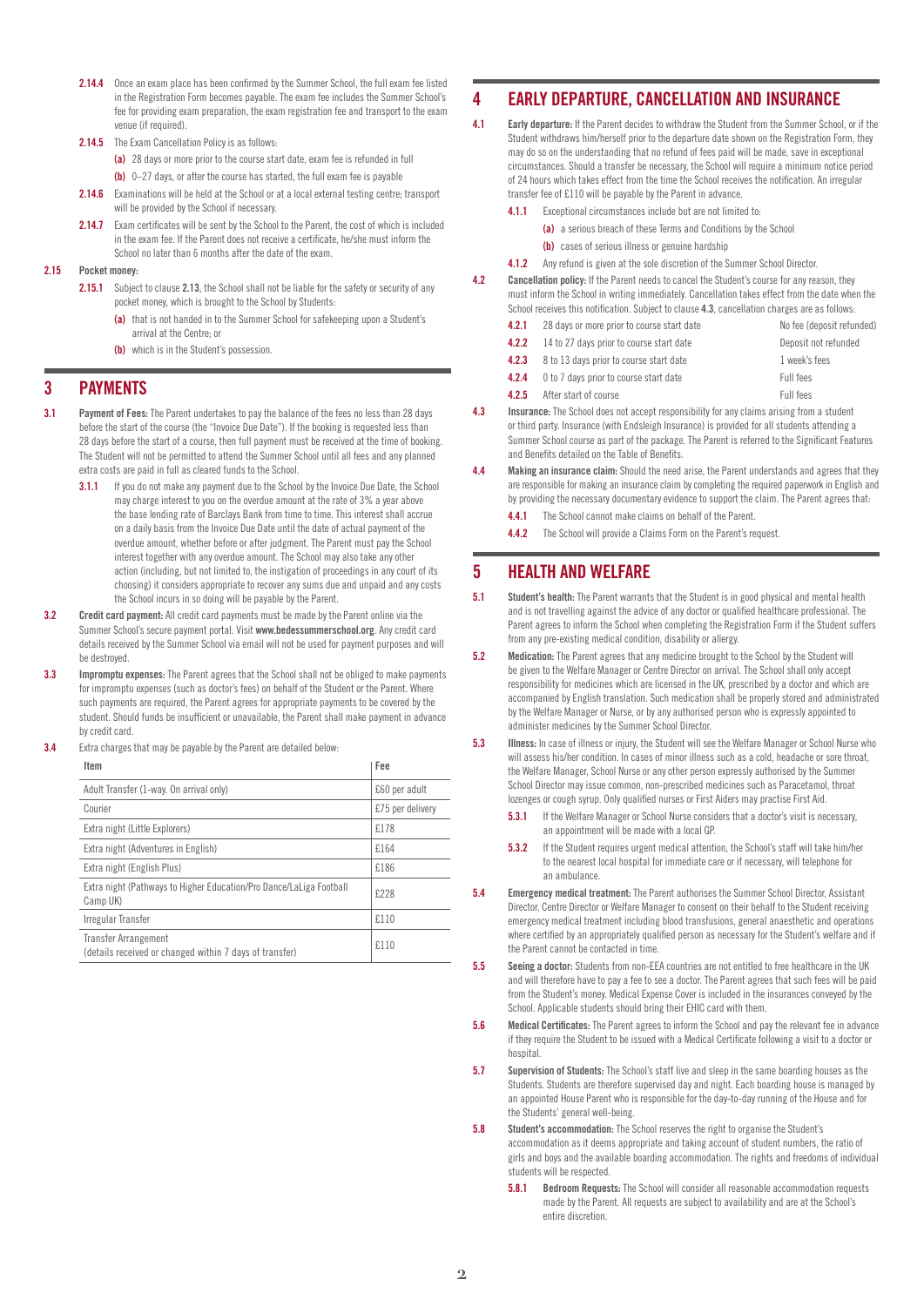- 2.14.4 Once an exam place has been confirmed by the Summer School, the full exam fee listed in the Registration Form becomes payable. The exam fee includes the Summer School's fee for providing exam preparation, the exam registration fee and transport to the exam venue (if required).
- 2.14.5 The Exam Cancellation Policy is as follows:
	- (a) 28 days or more prior to the course start date, exam fee is refunded in full
	- (b) 0-27 days, or after the course has started, the full exam fee is payable
- 2.14.6 Examinations will be held at the School or at a local external testing centre; transport will be provided by the School if necessary.
- 2.14.7 Exam certificates will be sent by the School to the Parent, the cost of which is included in the exam fee. If the Parent does not receive a certificate, he/she must inform the School no later than 6 months after the date of the exam.
- 2.15 Pocket money
	- 2.15.1 Subject to clause 2.13, the School shall not be liable for the safety or security of any pocket money, which is brought to the School by Students:
		- (a) that is not handed in to the Summer School for safekeeping upon a Student's arrival at the Centre; or
		- (b) which is in the Student's possession.

#### 3 PAYMENTS

- 3.1 Payment of Fees: The Parent undertakes to pay the balance of the fees no less than 28 days before the start of the course (the "Invoice Due Date"). If the booking is requested less than 28 days before the start of a course, then full payment must be received at the time of booking. The Student will not be permitted to attend the Summer School until all fees and any planned extra costs are paid in full as cleared funds to the School.
	- 3.1.1 If you do not make any payment due to the School by the Invoice Due Date, the School may charge interest to you on the overdue amount at the rate of 3% a year above the base lending rate of Barclays Bank from time to time. This interest shall accrue on a daily basis from the Invoice Due Date until the date of actual payment of the overdue amount, whether before or after judgment. The Parent must pay the School interest together with any overdue amount. The School may also take any other action (including, but not limited to, the instigation of proceedings in any court of its choosing) it considers appropriate to recover any sums due and unpaid and any costs the School incurs in so doing will be payable by the Parent.
- **3.2** Credit card payment: All credit card payments must be made by the Parent online via the Summer School's secure payment portal. Visit [www.bedessummerschool.org](http://www.bedessummerschool.org). Any credit card details received by the Summer School via email will not be used for payment purposes and will be destroyed.
- 3.3 Impromptu expenses: The Parent agrees that the School shall not be obliged to make payments for impromptu expenses (such as doctor's fees) on behalf of the Student or the Parent. Where such payments are required, the Parent agrees for appropriate payments to be covered by the student. Should funds be insufficient or unavailable, the Parent shall make payment in advance by credit card.
- **3.4** Extra charges that may be payable by the Parent are detailed below:

| Item                                                                                   | Fee              |
|----------------------------------------------------------------------------------------|------------------|
| Adult Transfer (1-way. On arrival only)                                                | £60 per adult    |
| Courier                                                                                | £75 per delivery |
| Extra night (Little Explorers)                                                         | £178             |
| Extra night (Adventures in English)                                                    | £164             |
| Extra night (English Plus)                                                             | £186             |
| Extra night (Pathways to Higher Education/Pro Dance/LaLiga Football<br>Camp UK)        | £228             |
| Irregular Transfer                                                                     | £110             |
| <b>Transfer Arrangement</b><br>(details received or changed within 7 days of transfer) | £110             |

# 4 EARLY DEPARTURE, CANCELLATION AND INSURANCE

- 4.1 Early departure: If the Parent decides to withdraw the Student from the Summer School, or if the Student withdraws him/herself prior to the departure date shown on the Registration Form, they may do so on the understanding that no refund of fees paid will be made, save in exceptional circumstances. Should a transfer be necessary, the School will require a minimum notice period of 24 hours which takes effect from the time the School receives the notification. An irregular transfer fee of £110 will be payable by the Parent in advance.
	- 4.1.1 Exceptional circumstances include but are not limited to-
		- (a) a serious breach of these Terms and Conditions by the School
			- (b) cases of serious illness or genuine hardship
	- 4.1.2 Any refund is given at the sole discretion of the Summer School Director.
- 4.2 Cancellation policy: If the Parent needs to cancel the Student's course for any reason, they must inform the School in writing immediately. Cancellation takes effect from the date when the School receives this notification. Subject to clause 4.3, cancellation charges are as follows:
	- **4.2.1** 28 days or more prior to course start date No fee (deposit refunded)
	- **4.2.2** 14 to 27 days prior to course start date Deposit not refunded
	- **4.2.3** 8 to 13 days prior to course start date 1 week's fees
	- **4.2.4** 0 to 7 days prior to course start date Full fees
	- **4.2.5** After start of course **Full fees**
- 4.3 Insurance: The School does not accept responsibility for any claims arising from a student or third party. Insurance (with Endsleigh Insurance) is provided for all students attending a Summer School course as part of the package. The Parent is referred to the Significant Features and Benefits detailed on the Table of Benefits.
- 4.4 Making an insurance claim: Should the need arise, the Parent understands and agrees that they are responsible for making an insurance claim by completing the required paperwork in English and by providing the necessary documentary evidence to support the claim. The Parent agrees that:
	- **4.4.1** The School cannot make claims on behalf of the Parent.
	- 442 The School will provide a Claims Form on the Parent's request.

# 5 HEALTH AND WELFARE

- **5.1** Student's health: The Parent warrants that the Student is in good physical and mental health and is not travelling against the advice of any doctor or qualified healthcare professional. The Parent agrees to inform the School when completing the Registration Form if the Student suffers from any pre-existing medical condition, disability or allergy.
- **5.2** Medication: The Parent agrees that any medicine brought to the School by the Student will be given to the Welfare Manager or Centre Director on arrival. The School shall only accept responsibility for medicines which are licensed in the UK, prescribed by a doctor and which are accompanied by English translation. Such medication shall be properly stored and administrated by the Welfare Manager or Nurse, or by any authorised person who is expressly appointed to administer medicines by the Summer School Director.
- **5.3** Illness: In case of illness or injury, the Student will see the Welfare Manager or School Nurse who will assess his/her condition. In cases of minor illness such as a cold, headache or sore throat, the Welfare Manager, School Nurse or any other person expressly authorised by the Summer School Director may issue common, non-prescribed medicines such as Paracetamol, throat lozenges or cough syrup. Only qualified nurses or First Aiders may practise First Aid.
	- **5.3.1** If the Welfare Manager or School Nurse considers that a doctor's visit is necessary, an appointment will be made with a local GP.
	- **5.3.2** If the Student requires urgent medical attention, the School's staff will take him/her to the nearest local hospital for immediate care or if necessary, will telephone for an ambulance.
- **5.4** Emergency medical treatment: The Parent authorises the Summer School Director, Assistant Director, Centre Director or Welfare Manager to consent on their behalf to the Student receiving emergency medical treatment including blood transfusions, general anaesthetic and operations where certified by an appropriately qualified person as necessary for the Student's welfare and if the Parent cannot be contacted in time.
- 5.5 Seeing a doctor: Students from non-EEA countries are not entitled to free healthcare in the UK and will therefore have to pay a fee to see a doctor. The Parent agrees that such fees will be paid from the Student's money. Medical Expense Cover is included in the insurances conveyed by the School. Applicable students should bring their EHIC card with them.
- **5.6** Medical Certificates: The Parent agrees to inform the School and pay the relevant fee in advance if they require the Student to be issued with a Medical Certificate following a visit to a doctor or hospital
- 5.7 Supervision of Students: The School's staff live and sleep in the same boarding houses as the Students. Students are therefore supervised day and night. Each boarding house is managed by an appointed House Parent who is responsible for the day-to-day running of the House and for the Students' general well-being.
- 5.8 Student's accommodation: The School reserves the right to organise the Student's accommodation as it deems appropriate and taking account of student numbers, the ratio of girls and boys and the available boarding accommodation. The rights and freedoms of individual students will be respected.
	- **5.8.1** Bedroom Requests: The School will consider all reasonable accommodation requests made by the Parent. All requests are subject to availability and are at the School's entire discretion.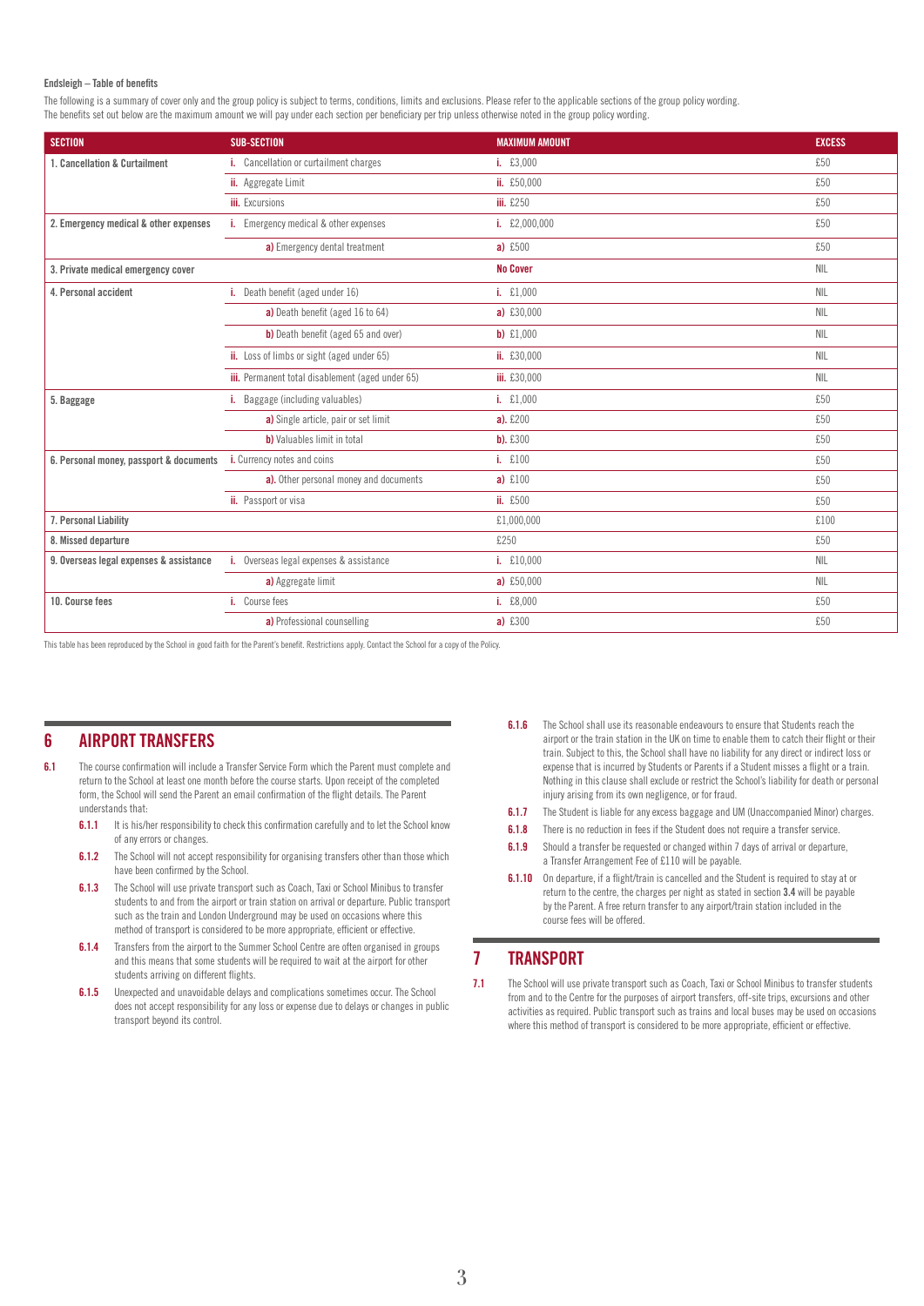#### Endsleigh – Table of benefits

The following is a summary of cover only and the group policy is subject to terms, conditions, limits and exclusions. Please refer to the applicable sections of the group policy wording. The benefits set out below are the maximum amount we will pay under each section per beneficiary per trip unless otherwise noted in the group policy wording.

| <b>SECTION</b>                          | <b>SUB-SECTION</b>                               | <b>MAXIMUM AMOUNT</b> | <b>EXCESS</b> |
|-----------------------------------------|--------------------------------------------------|-----------------------|---------------|
| 1. Cancellation & Curtailment           | i. Cancellation or curtailment charges           | i. £3,000             | £50           |
|                                         | ii. Aggregate Limit                              | ii. £50,000           | £50           |
|                                         | <b>iii.</b> Excursions                           | <b>iii.</b> £250      | £50           |
| 2. Emergency medical & other expenses   | i. Emergency medical & other expenses            | i. £2,000,000         | £50           |
|                                         | a) Emergency dental treatment                    | a) $£500$             | £50           |
| 3. Private medical emergency cover      |                                                  | <b>No Cover</b>       | <b>NIL</b>    |
| 4. Personal accident                    | i. Death benefit (aged under 16)                 | i. $£1,000$           | <b>NIL</b>    |
|                                         | a) Death benefit (aged 16 to 64)                 | a) $£30,000$          | <b>NIL</b>    |
|                                         | b) Death benefit (aged 65 and over)              | $b)$ £1,000           | <b>NIL</b>    |
|                                         | ii. Loss of limbs or sight (aged under 65)       | ii. £30,000           | <b>NIL</b>    |
|                                         | iii. Permanent total disablement (aged under 65) | iii. £30,000          | <b>NIL</b>    |
| 5. Baggage                              | i. Baggage (including valuables)                 | i. $£1,000$           | £50           |
|                                         | a) Single article, pair or set limit             | $a)$ . £200           | £50           |
|                                         | b) Valuables limit in total                      | $b)$ . £300           | £50           |
| 6. Personal money, passport & documents | i. Currency notes and coins                      | i. £100               | £50           |
|                                         | a). Other personal money and documents           | a) $£100$             | £50           |
|                                         | ii. Passport or visa                             | ii. £500              | £50           |
| 7. Personal Liability                   |                                                  | £1,000,000            | £100          |
| 8. Missed departure                     |                                                  | £250                  | £50           |
| 9. Overseas legal expenses & assistance | i. Overseas legal expenses & assistance          | i. £10,000            | <b>NIL</b>    |
|                                         | a) Aggregate limit                               | a) $£50,000$          | <b>NIL</b>    |
| 10. Course fees                         | i. Course fees                                   | i. £8,000             | £50           |
|                                         | a) Professional counselling                      | a) £300               | £50           |

This table has been reproduced by the School in good faith for the Parent's benefit. Restrictions apply. Contact the School for a copy of the Policy.

## 6 AIRPORT TRANSFERS

- 6.1 The course confirmation will include a Transfer Service Form which the Parent must complete and return to the School at least one month before the course starts. Upon receipt of the completed form, the School will send the Parent an email confirmation of the flight details. The Parent understands that:
	- **6.1.1** It is his/her responsibility to check this confirmation carefully and to let the School know of any errors or changes.
	- **6.1.2** The School will not accept responsibility for organising transfers other than those which have been confirmed by the School.
	- **6.1.3** The School will use private transport such as Coach, Taxi or School Minibus to transfer students to and from the airport or train station on arrival or departure. Public transport such as the train and London Underground may be used on occasions where this method of transport is considered to be more appropriate, efficient or effective.
	- **6.1.4** Transfers from the airport to the Summer School Centre are often organised in groups and this means that some students will be required to wait at the airport for other students arriving on different flights.
	- **6.1.5** Unexpected and unavoidable delays and complications sometimes occur. The School does not accept responsibility for any loss or expense due to delays or changes in public transport beyond its control.
- **6.1.6** The School shall use its reasonable endeavours to ensure that Students reach the airport or the train station in the UK on time to enable them to catch their flight or their train. Subject to this, the School shall have no liability for any direct or indirect loss or expense that is incurred by Students or Parents if a Student misses a flight or a train. Nothing in this clause shall exclude or restrict the School's liability for death or personal injury arising from its own negligence, or for fraud.
- **6.1.7** The Student is liable for any excess baggage and UM (Unaccompanied Minor) charges.
- **6.1.8** There is no reduction in fees if the Student does not require a transfer service.
- **6.1.9** Should a transfer be requested or changed within 7 days of arrival or departure, a Transfer Arrangement Fee of £110 will be payable.
- **6.1.10** On departure, if a flight/train is cancelled and the Student is required to stay at or return to the centre, the charges per night as stated in section 3.4 will be payable by the Parent. A free return transfer to any airport/train station included in the course fees will be offered.

#### 7 TRANSPORT

7.1 The School will use private transport such as Coach, Taxi or School Minibus to transfer students from and to the Centre for the purposes of airport transfers, off-site trips, excursions and other activities as required. Public transport such as trains and local buses may be used on occasions where this method of transport is considered to be more appropriate, efficient or effective.